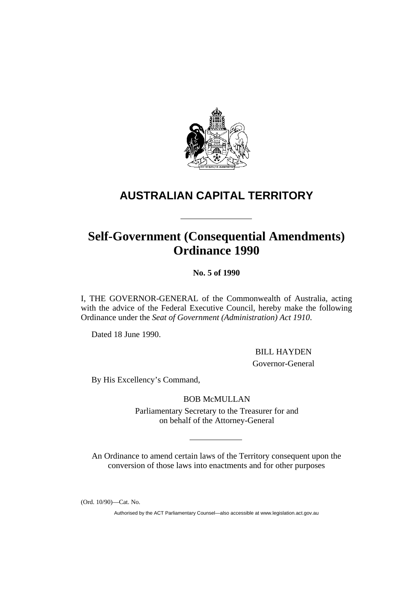

# **AUSTRALIAN CAPITAL TERRITORY**

# **Self-Government (Consequential Amendments) Ordinance 1990**

**No. 5 of 1990** 

I, THE GOVERNOR-GENERAL of the Commonwealth of Australia, acting with the advice of the Federal Executive Council, hereby make the following Ordinance under the *Seat of Government (Administration) Act 1910*.

Dated 18 June 1990.

BILL HAYDEN

Governor-General

By His Excellency's Command,

BOB McMULLAN

Parliamentary Secretary to the Treasurer for and on behalf of the Attorney-General

An Ordinance to amend certain laws of the Territory consequent upon the conversion of those laws into enactments and for other purposes

(Ord. 10/90)—Cat. No.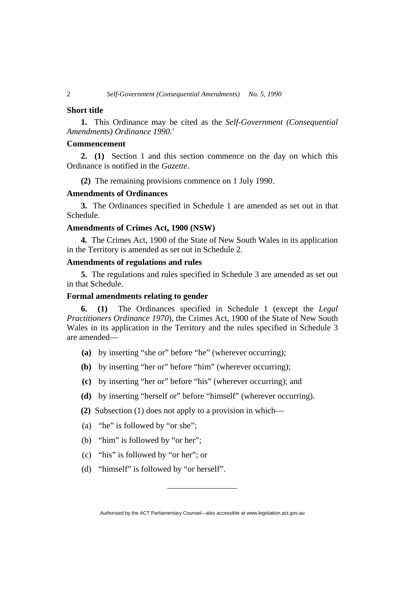# **Short title**

**1.** This Ordinance may be cited as the *Self-Government (Consequential Amendments) Ordinance 1990.*<sup>1</sup>

# **Commencement**

**2. (1)** Section 1 and this section commence on the day on which this Ordinance is notified in the *Gazette*.

**(2)** The remaining provisions commence on 1 July 1990.

# **Amendments of Ordinances**

**3.** The Ordinances specified in Schedule 1 are amended as set out in that Schedule.

# **Amendments of Crimes Act, 1900 (NSW)**

**4.** The Crimes Act, 1900 of the State of New South Wales in its application in the Territory is amended as set out in Schedule 2.

# **Amendments of regulations and rules**

**5.** The regulations and rules specified in Schedule 3 are amended as set out in that Schedule.

# **Formal amendments relating to gender**

**6. (1)** The Ordinances specified in Schedule 1 (except the *Legal Practitioners Ordinance 1970*), the Crimes Act, 1900 of the State of New South Wales in its application in the Territory and the rules specified in Schedule 3 are amended—

- **(a)** by inserting "she or" before "he" (wherever occurring);
- **(b)** by inserting "her or" before "him" (wherever occurring);
- **(c)** by inserting "her or" before "his" (wherever occurring); and
- **(d)** by inserting "herself or" before "himself" (wherever occurring).
- **(2)** Subsection (1) does not apply to a provision in which—
- (a) "he" is followed by "or she";
- (b) "him" is followed by "or her";
- (c) "his" is followed by "or her"; or
- (d) "himself" is followed by "or herself".

Authorised by the ACT Parliamentary Counsel—also accessible at www.legislation.act.gov.au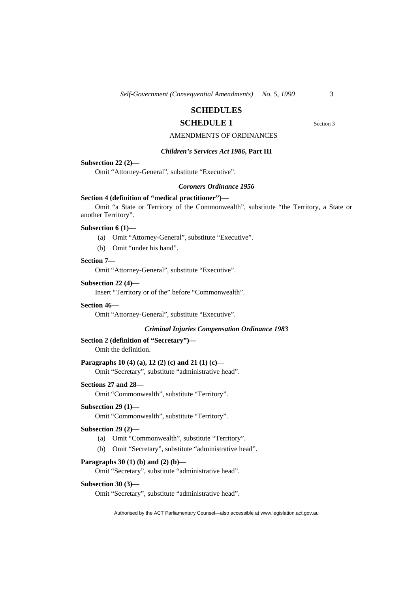# **SCHEDULES**

# **SCHEDULE 1** Section 3

# AMENDMENTS OF ORDINANCES

# *Children's Services Act 1986***, Part III**

# **Subsection 22 (2)—**

Omit "Attorney-General", substitute "Executive".

#### *Coroners Ordinance 1956*

# **Section 4 (definition of "medical practitioner")—**

Omit "a State or Territory of the Commonwealth", substitute "the Territory, a State or another Territory".

# **Subsection 6 (1)—**

- (a) Omit "Attorney-General", substitute "Executive".
- (b) Omit "under his hand".

# **Section 7—**

Omit "Attorney-General", substitute "Executive".

# **Subsection 22 (4)—**

Insert "Territory or of the" before "Commonwealth".

#### **Section 46—**

Omit "Attorney-General", substitute "Executive".

#### *Criminal Injuries Compensation Ordinance 1983*

# **Section 2 (definition of "Secretary")—**

Omit the definition.

# **Paragraphs 10 (4) (a), 12 (2) (c) and 21 (1) (c)—**

Omit "Secretary", substitute "administrative head".

#### **Sections 27 and 28—**

Omit "Commonwealth", substitute "Territory".

# **Subsection 29 (1)—**

Omit "Commonwealth", substitute "Territory".

# **Subsection 29 (2)—**

- (a) Omit "Commonwealth", substitute "Territory".
- (b) Omit "Secretary", substitute "administrative head".

# **Paragraphs 30 (1) (b) and (2) (b)—**

Omit "Secretary", substitute "administrative head".

#### **Subsection 30 (3)—**

Omit "Secretary", substitute "administrative head".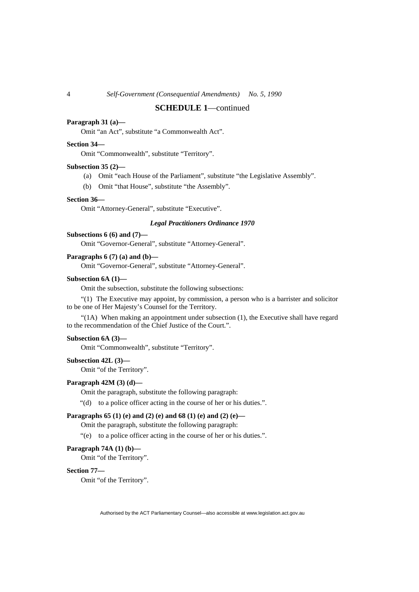# **SCHEDULE 1**—continued

# **Paragraph 31 (a)—**

Omit "an Act", substitute "a Commonwealth Act".

# **Section 34—**

Omit "Commonwealth", substitute "Territory".

#### **Subsection 35 (2)—**

- (a) Omit "each House of the Parliament", substitute "the Legislative Assembly".
- (b) Omit "that House", substitute "the Assembly".

# **Section 36—**

Omit "Attorney-General", substitute "Executive".

# *Legal Practitioners Ordinance 1970*

# **Subsections 6 (6) and (7)—**

Omit "Governor-General", substitute "Attorney-General".

# **Paragraphs 6 (7) (a) and (b)—**

Omit "Governor-General", substitute "Attorney-General".

# **Subsection 6A (1)—**

Omit the subsection, substitute the following subsections:

"(1) The Executive may appoint, by commission, a person who is a barrister and solicitor to be one of Her Majesty's Counsel for the Territory.

"(1A) When making an appointment under subsection (1), the Executive shall have regard to the recommendation of the Chief Justice of the Court.".

# **Subsection 6A (3)—**

Omit "Commonwealth", substitute "Territory".

#### **Subsection 42L (3)—**

Omit "of the Territory".

## **Paragraph 42M (3) (d)—**

Omit the paragraph, substitute the following paragraph:

"(d) to a police officer acting in the course of her or his duties.".

# **Paragraphs 65 (1) (e) and (2) (e) and 68 (1) (e) and (2) (e)—**

Omit the paragraph, substitute the following paragraph:

"(e) to a police officer acting in the course of her or his duties.".

## **Paragraph 74A (1) (b)—**

Omit "of the Territory".

#### **Section 77—**

Omit "of the Territory".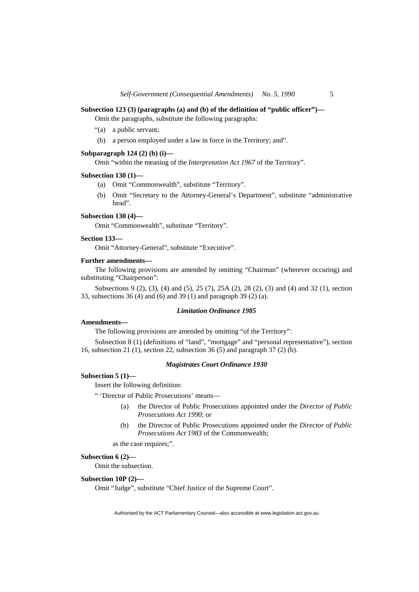# **Subsection 123 (3) (paragraphs (a) and (b) of the definition of "public officer")—**

Omit the paragraphs, substitute the following paragraphs:

- "(a) a public servant;
- (b) a person employed under a law in force in the Territory; and".

# **Subparagraph 124 (2) (b) (i)—**

Omit "within the meaning of the *Interpretation Act 1967* of the Territory".

#### **Subsection 130 (1)—**

- (a) Omit "Commonwealth", substitute "Territory".
- (b) Omit "Secretary to the Attorney-General's Department", substitute "administrative head".

# **Subsection 130 (4)—**

Omit "Commonwealth", substitute "Territory".

# **Section 133—**

Omit "Attorney-General", substitute "Executive".

#### **Further amendments—**

The following provisions are amended by omitting "Chairman" (wherever occuring) and substituting "Chairperson":

Subsections 9 (2), (3), (4) and (5), 25 (7), 25A (2), 28 (2), (3) and (4) and 32 (1), section 33, subsections 36 (4) and (6) and 39 (1) and paragraph 39 (2) (a).

# *Limitation Ordinance 1985*

# **Amendments—**

The following provisions are amended by omitting "of the Territory":

Subsection 8 (1) (definitions of "land", "mortgage" and "personal representative"), section 16, subsection 21 (1), section 22, subsection 36 (5) and paragraph 37 (2) (b).

# *Magistrates Court Ordinance 1930*

#### **Subsection 5 (1)—**

Insert the following definition:

" 'Director of Public Prosecutions' means—

- (a) the Director of Public Prosecutions appointed under the *Director of Public Prosecutions Act 1990*; or
- (b) the Director of Public Prosecutions appointed under the *Director of Public Prosecutions Act 1983* of the Commonwealth;

as the case requires;".

# **Subsection 6 (2)—**

Omit the subsection.

#### **Subsection 10P (2)—**

Omit "Judge", substitute "Chief Justice of the Supreme Court".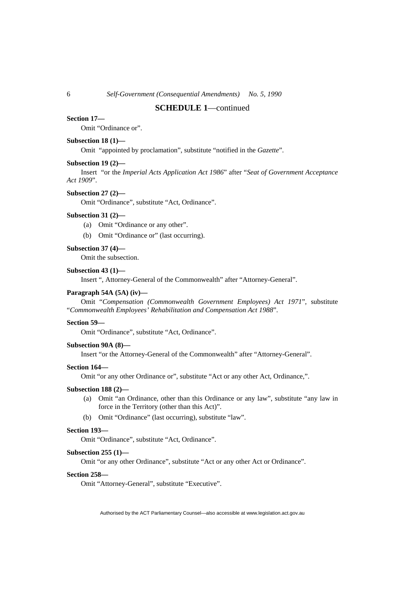# **SCHEDULE 1**—continued

# **Section 17—**

Omit "Ordinance or".

#### **Subsection 18 (1)—**

Omit "appointed by proclamation", substitute "notified in the *Gazette*".

# **Subsection 19 (2)—**

Insert "or the *Imperial Acts Application Act 1986*" after "*Seat of Government Acceptance Act 1909*".

#### **Subsection 27 (2)—**

Omit "Ordinance", substitute "Act, Ordinance".

#### **Subsection 31 (2)—**

- (a) Omit "Ordinance or any other".
- (b) Omit "Ordinance or" (last occurring).

#### **Subsection 37 (4)—**

Omit the subsection.

#### **Subsection 43 (1)—**

Insert ", Attorney-General of the Commonwealth" after "Attorney-General".

## **Paragraph 54A (5A) (iv)—**

Omit "*Compensation (Commonwealth Government Employees) Act 1971*", substitute "*Commonwealth Employees' Rehabilitation and Compensation Act 1988*".

# **Section 59—**

Omit "Ordinance", substitute "Act, Ordinance".

#### **Subsection 90A (8)—**

Insert "or the Attorney-General of the Commonwealth" after "Attorney-General".

#### **Section 164—**

Omit "or any other Ordinance or", substitute "Act or any other Act, Ordinance,".

# **Subsection 188 (2)—**

- (a) Omit "an Ordinance, other than this Ordinance or any law", substitute "any law in force in the Territory (other than this Act)".
- (b) Omit "Ordinance" (last occurring), substitute "law".

# **Section 193—**

Omit "Ordinance", substitute "Act, Ordinance".

# **Subsection 255 (1)—**

Omit "or any other Ordinance", substitute "Act or any other Act or Ordinance".

#### **Section 258—**

Omit "Attorney-General", substitute "Executive".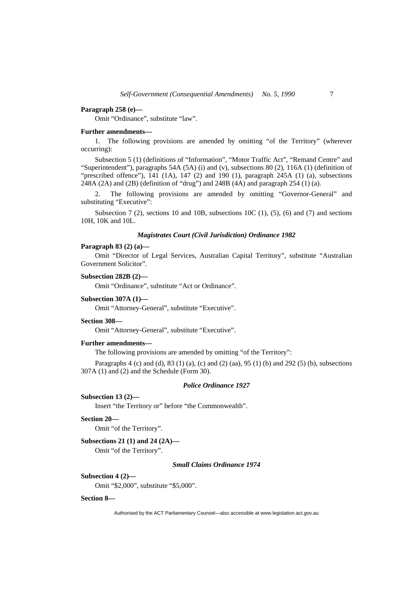#### **Paragraph 258 (e)—**

Omit "Ordinance", substitute "law".

#### **Further amendments—**

1. The following provisions are amended by omitting "of the Territory" (wherever occurring):

Subsection 5 (1) (definitions of "Information", "Motor Traffic Act", "Remand Centre" and "Superintendent"), paragraphs 54A (5A) (i) and (v), subsections 80 (2), 116A (1) (definition of "prescribed offence"),  $\overline{141}$  (1A), 147 (2) and 190 (1), paragraph 245A (1) (a), subsections 248A (2A) and (2B) (definition of "drug") and 248B (4A) and paragraph 254 (1) (a).

2. The following provisions are amended by omitting "Governor-General" and substituting "Executive":

Subsection 7 (2), sections 10 and 10B, subsections 10C (1), (5), (6) and (7) and sections 10H, 10K and 10L.

# *Magistrates Court (Civil Jurisdiction) Ordinance 1982*

## **Paragraph 83 (2) (a)—**

Omit "Director of Legal Services, Australian Capital Territory", substitute "Australian Government Solicitor".

**Subsection 282B (2)—** 

Omit "Ordinance", substitute "Act or Ordinance".

# **Subsection 307A (1)—**

Omit "Attorney-General", substitute "Executive".

# **Section 308—**

Omit "Attorney-General", substitute "Executive".

# **Further amendments—**

The following provisions are amended by omitting "of the Territory":

Paragraphs 4 (c) and (d), 83 (1) (a), (c) and (2) (aa), 95 (1) (b) and 292 (5) (b), subsections 307A (1) and (2) and the Schedule (Form 30).

# *Police Ordinance 1927*

# **Subsection 13 (2)—**

Insert "the Territory or" before "the Commonwealth".

# **Section 20—**

Omit "of the Territory".

#### **Subsections 21 (1) and 24 (2A)—**

Omit "of the Territory".

#### *Small Claims Ordinance 1974*

# **Subsection 4 (2)—**

Omit "\$2,000", substitute "\$5,000".

#### **Section 8—**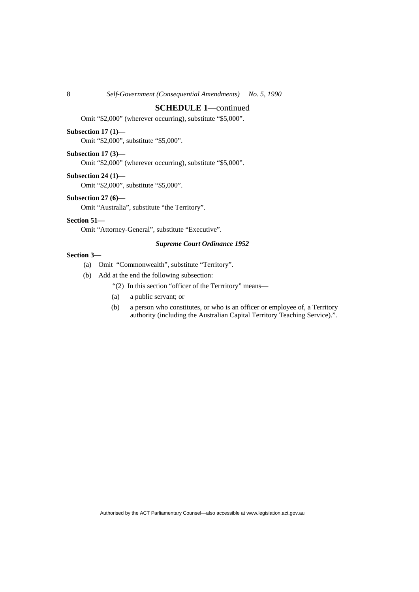# **SCHEDULE 1**—continued

Omit "\$2,000" (wherever occurring), substitute "\$5,000".

# **Subsection 17 (1)—**

Omit "\$2,000", substitute "\$5,000".

#### **Subsection 17 (3)—**

Omit "\$2,000" (wherever occurring), substitute "\$5,000".

#### **Subsection 24 (1)—**

Omit "\$2,000", substitute "\$5,000".

# **Subsection 27 (6)—**

Omit "Australia", substitute "the Territory".

# **Section 51—**

Omit "Attorney-General", substitute "Executive".

# *Supreme Court Ordinance 1952*

# **Section 3—**

- (a) Omit "Commonwealth", substitute "Territory".
- (b) Add at the end the following subsection:
	- "(2) In this section "officer of the Terrritory" means—
	- (a) a public servant; or
	- (b) a person who constitutes, or who is an officer or employee of, a Territory authority (including the Australian Capital Territory Teaching Service).".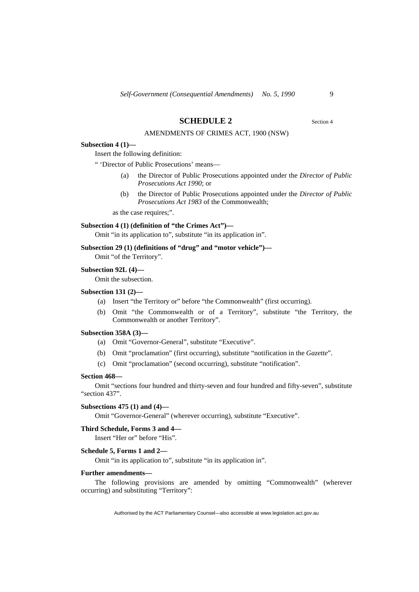# **SCHEDULE 2** Section 4

AMENDMENTS OF CRIMES ACT, 1900 (NSW)

#### **Subsection 4 (1)—**

Insert the following definition:

" 'Director of Public Prosecutions' means—

- (a) the Director of Public Prosecutions appointed under the *Director of Public Prosecutions Act 1990*; or
- (b) the Director of Public Prosecutions appointed under the *Director of Public Prosecutions Act 1983* of the Commonwealth;

as the case requires;".

#### **Subsection 4 (1) (definition of "the Crimes Act")—**

Omit "in its application to", substitute "in its application in".

# **Subsection 29 (1) (definitions of "drug" and "motor vehicle")—**

Omit "of the Territory".

#### **Subsection 92L (4)—**

Omit the subsection.

#### **Subsection 131 (2)—**

- (a) Insert "the Territory or" before "the Commonwealth" (first occurring).
- (b) Omit "the Commonwealth or of a Territory", substitute "the Territory, the Commonwealth or another Territory".

#### **Subsection 358A (3)—**

- (a) Omit "Governor-General", substitute "Executive".
- (b) Omit "proclamation" (first occurring), substitute "notification in the *Gazette*".
- (c) Omit "proclamation" (second occurring), substitute "notification".

#### **Section 468—**

Omit "sections four hundred and thirty-seven and four hundred and fifty-seven", substitute "section 437".

# **Subsections 475 (1) and (4)—**

Omit "Governor-General" (wherever occurring), substitute "Executive".

# **Third Schedule, Forms 3 and 4—**

Insert "Her or" before "His".

# **Schedule 5, Forms 1 and 2—**

Omit "in its application to", substitute "in its application in".

#### **Further amendments—**

The following provisions are amended by omitting "Commonwealth" (wherever occurring) and substituting "Territory":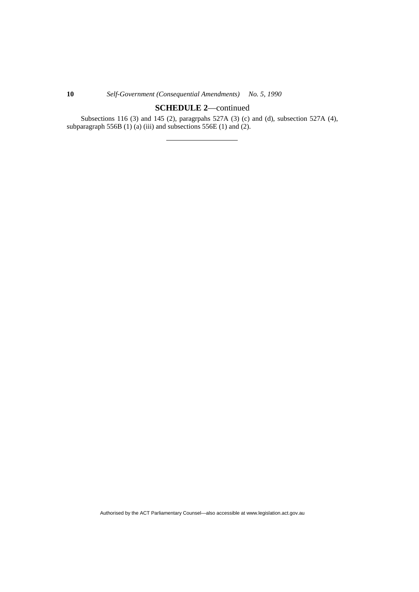# **10** *Self-Government (Consequential Amendments) No. 5, 1990*

# **SCHEDULE 2**—continued

Subsections 116 (3) and 145 (2), paragrpahs 527A (3) (c) and (d), subsection 527A (4), subparagraph 556B  $(1)$  (a) (iii) and subsections 556E  $(1)$  and  $(2)$ .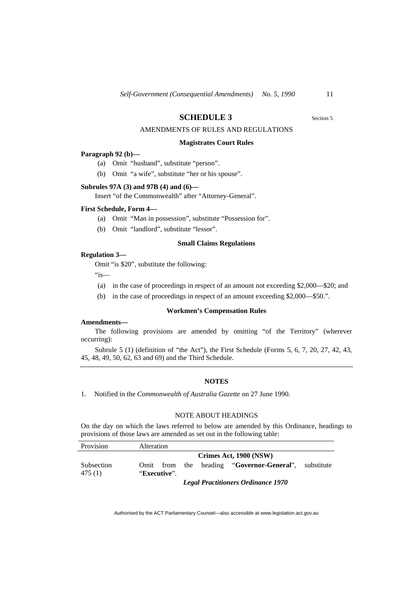# **SCHEDULE 3** Section 5

AMENDMENTS OF RULES AND REGULATIONS

#### **Magistrates Court Rules**

#### **Paragraph 92 (b)—**

- (a) Omit "husband", substitute "person".
- (b) Omit "a wife", substitute "her or his spouse".

#### **Subrules 97A (3) and 97B (4) and (6)—**

Insert "of the Commonwealth" after "Attorney-General".

#### **First Schedule, Form 4—**

- (a) Omit "Man in possession", substitute "Possession for".
- (b) Omit "landlord", substitute "lessor".

# **Small Claims Regulations**

#### **Regulation 3—**

Omit "is \$20", substitute the following:

 $"is$ —

- (a) in the case of proceedings in respect of an amount not exceeding \$2,000—\$20; and
- (b) in the case of proceedings in respect of an amount exceeding \$2,000—\$50.".

# **Workmen's Compensation Rules**

# **Amendments—**

The following provisions are amended by omitting "of the Territory" (wherever occurring):

Subrule 5 (1) (definition of "the Act"), the First Schedule (Forms 5, 6, 7, 20, 27, 42, 43, 45, 48, 49, 50, 62, 63 and 69) and the Third Schedule.

# **NOTES**

1. Notified in the *Commonwealth of Australia Gazette* on 27 June 1990.

# NOTE ABOUT HEADINGS

On the day on which the laws referred to below are amended by this Ordinance, headings to provisions of those laws are amended as set out in the following table:

| Provision            | Alteration   |                                                         |  |
|----------------------|--------------|---------------------------------------------------------|--|
|                      |              | Crimes Act, 1900 (NSW)                                  |  |
| Subsection<br>475(1) | "Executive". | Omit from the heading "Governor-General",<br>substitute |  |
|                      |              | $\cdots$                                                |  |

*Legal Practitioners Ordinance 1970*